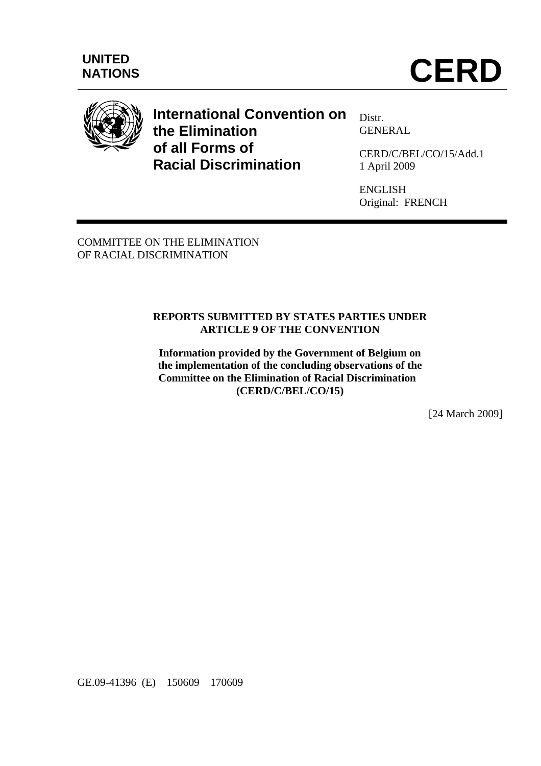

# **International Convention on the Elimination of all Forms of Racial Discrimination**

Distr. GENERAL

CERD/C/BEL/CO/15/Add.1 1 April 2009

ENGLISH Original: FRENCH

COMMITTEE ON THE ELIMINATION OF RACIAL DISCRIMINATION

### **REPORTS SUBMITTED BY STATES PARTIES UNDER ARTICLE 9 OF THE CONVENTION**

**Information provided by the Government of Belgium on the implementation of the concluding observations of the Committee on the Elimination of Racial Discrimination (CERD/C/BEL/CO/15)** 

[24 March 2009]

GE.09-41396 (E) 150609 170609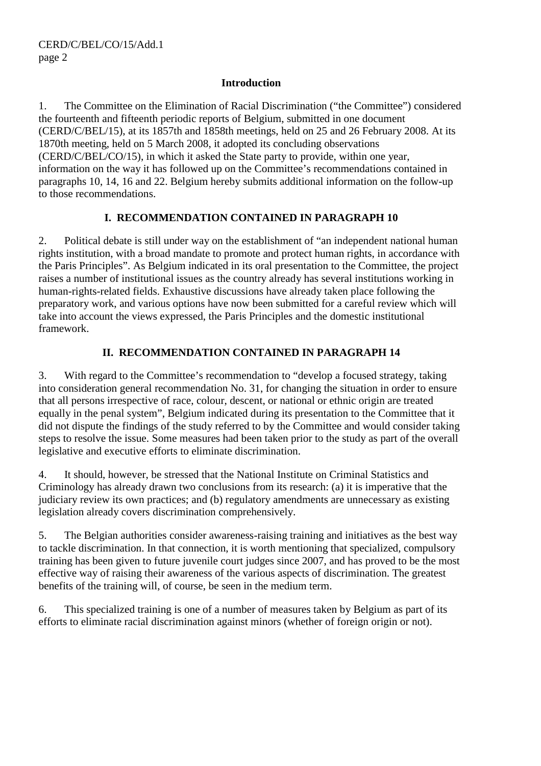#### **Introduction**

1. The Committee on the Elimination of Racial Discrimination ("the Committee") considered the fourteenth and fifteenth periodic reports of Belgium, submitted in one document (CERD/C/BEL/15), at its 1857th and 1858th meetings, held on 25 and 26 February 2008. At its 1870th meeting, held on 5 March 2008, it adopted its concluding observations (CERD/C/BEL/CO/15), in which it asked the State party to provide, within one year, information on the way it has followed up on the Committee's recommendations contained in paragraphs 10, 14, 16 and 22. Belgium hereby submits additional information on the follow-up to those recommendations.

## **I. RECOMMENDATION CONTAINED IN PARAGRAPH 10**

2. Political debate is still under way on the establishment of "an independent national human rights institution, with a broad mandate to promote and protect human rights, in accordance with the Paris Principles". As Belgium indicated in its oral presentation to the Committee, the project raises a number of institutional issues as the country already has several institutions working in human-rights-related fields. Exhaustive discussions have already taken place following the preparatory work, and various options have now been submitted for a careful review which will take into account the views expressed, the Paris Principles and the domestic institutional framework.

## **II. RECOMMENDATION CONTAINED IN PARAGRAPH 14**

3. With regard to the Committee's recommendation to "develop a focused strategy, taking into consideration general recommendation No. 31, for changing the situation in order to ensure that all persons irrespective of race, colour, descent, or national or ethnic origin are treated equally in the penal system", Belgium indicated during its presentation to the Committee that it did not dispute the findings of the study referred to by the Committee and would consider taking steps to resolve the issue. Some measures had been taken prior to the study as part of the overall legislative and executive efforts to eliminate discrimination.

4. It should, however, be stressed that the National Institute on Criminal Statistics and Criminology has already drawn two conclusions from its research: (a) it is imperative that the judiciary review its own practices; and (b) regulatory amendments are unnecessary as existing legislation already covers discrimination comprehensively.

5. The Belgian authorities consider awareness-raising training and initiatives as the best way to tackle discrimination. In that connection, it is worth mentioning that specialized, compulsory training has been given to future juvenile court judges since 2007, and has proved to be the most effective way of raising their awareness of the various aspects of discrimination. The greatest benefits of the training will, of course, be seen in the medium term.

6. This specialized training is one of a number of measures taken by Belgium as part of its efforts to eliminate racial discrimination against minors (whether of foreign origin or not).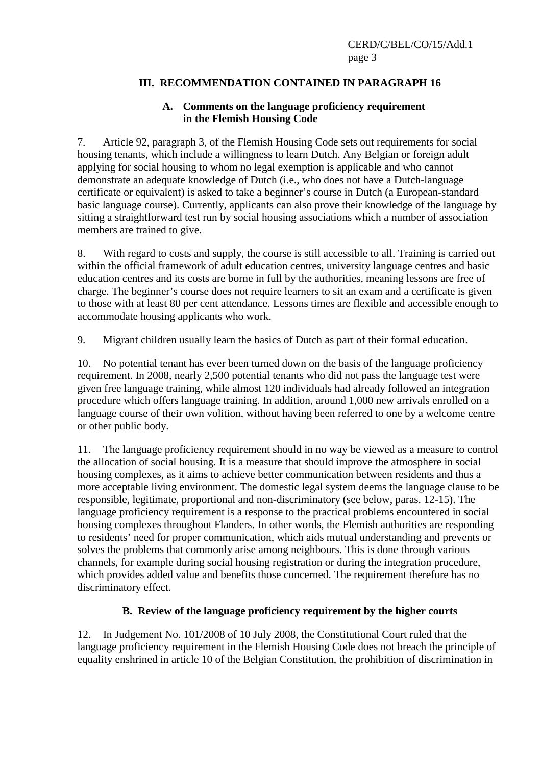## **III. RECOMMENDATION CONTAINED IN PARAGRAPH 16**

#### **A. Comments on the language proficiency requirement in the Flemish Housing Code**

7. Article 92, paragraph 3, of the Flemish Housing Code sets out requirements for social housing tenants, which include a willingness to learn Dutch. Any Belgian or foreign adult applying for social housing to whom no legal exemption is applicable and who cannot demonstrate an adequate knowledge of Dutch (i.e., who does not have a Dutch-language certificate or equivalent) is asked to take a beginner's course in Dutch (a European-standard basic language course). Currently, applicants can also prove their knowledge of the language by sitting a straightforward test run by social housing associations which a number of association members are trained to give.

8. With regard to costs and supply, the course is still accessible to all. Training is carried out within the official framework of adult education centres, university language centres and basic education centres and its costs are borne in full by the authorities, meaning lessons are free of charge. The beginner's course does not require learners to sit an exam and a certificate is given to those with at least 80 per cent attendance. Lessons times are flexible and accessible enough to accommodate housing applicants who work.

9. Migrant children usually learn the basics of Dutch as part of their formal education.

10. No potential tenant has ever been turned down on the basis of the language proficiency requirement. In 2008, nearly 2,500 potential tenants who did not pass the language test were given free language training, while almost 120 individuals had already followed an integration procedure which offers language training. In addition, around 1,000 new arrivals enrolled on a language course of their own volition, without having been referred to one by a welcome centre or other public body.

11. The language proficiency requirement should in no way be viewed as a measure to control the allocation of social housing. It is a measure that should improve the atmosphere in social housing complexes, as it aims to achieve better communication between residents and thus a more acceptable living environment. The domestic legal system deems the language clause to be responsible, legitimate, proportional and non-discriminatory (see below, paras. 12-15). The language proficiency requirement is a response to the practical problems encountered in social housing complexes throughout Flanders. In other words, the Flemish authorities are responding to residents' need for proper communication, which aids mutual understanding and prevents or solves the problems that commonly arise among neighbours. This is done through various channels, for example during social housing registration or during the integration procedure, which provides added value and benefits those concerned. The requirement therefore has no discriminatory effect.

### **B. Review of the language proficiency requirement by the higher courts**

12. In Judgement No. 101/2008 of 10 July 2008, the Constitutional Court ruled that the language proficiency requirement in the Flemish Housing Code does not breach the principle of equality enshrined in article 10 of the Belgian Constitution, the prohibition of discrimination in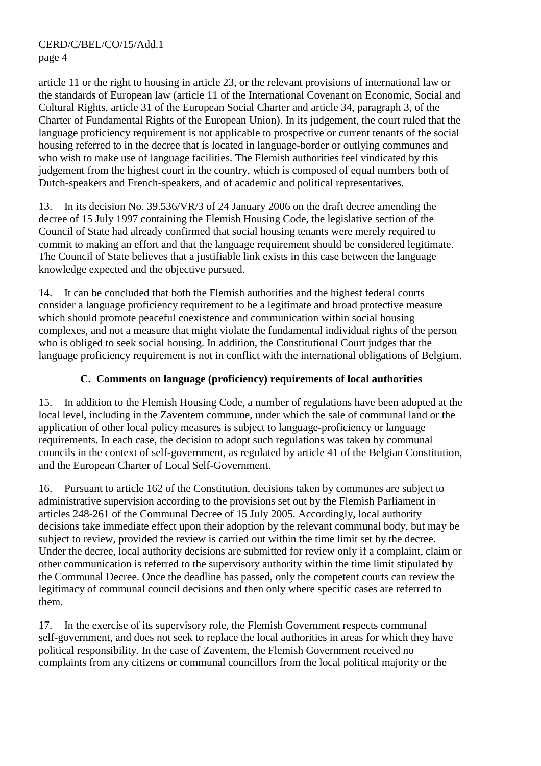article 11 or the right to housing in article 23, or the relevant provisions of international law or the standards of European law (article 11 of the International Covenant on Economic, Social and Cultural Rights, article 31 of the European Social Charter and article 34, paragraph 3, of the Charter of Fundamental Rights of the European Union). In its judgement, the court ruled that the language proficiency requirement is not applicable to prospective or current tenants of the social housing referred to in the decree that is located in language-border or outlying communes and who wish to make use of language facilities. The Flemish authorities feel vindicated by this judgement from the highest court in the country, which is composed of equal numbers both of Dutch-speakers and French-speakers, and of academic and political representatives.

13. In its decision No. 39.536/VR/3 of 24 January 2006 on the draft decree amending the decree of 15 July 1997 containing the Flemish Housing Code, the legislative section of the Council of State had already confirmed that social housing tenants were merely required to commit to making an effort and that the language requirement should be considered legitimate. The Council of State believes that a justifiable link exists in this case between the language knowledge expected and the objective pursued.

14. It can be concluded that both the Flemish authorities and the highest federal courts consider a language proficiency requirement to be a legitimate and broad protective measure which should promote peaceful coexistence and communication within social housing complexes, and not a measure that might violate the fundamental individual rights of the person who is obliged to seek social housing. In addition, the Constitutional Court judges that the language proficiency requirement is not in conflict with the international obligations of Belgium.

# **C. Comments on language (proficiency) requirements of local authorities**

15. In addition to the Flemish Housing Code, a number of regulations have been adopted at the local level, including in the Zaventem commune, under which the sale of communal land or the application of other local policy measures is subject to language-proficiency or language requirements. In each case, the decision to adopt such regulations was taken by communal councils in the context of self-government, as regulated by article 41 of the Belgian Constitution, and the European Charter of Local Self-Government.

16. Pursuant to article 162 of the Constitution, decisions taken by communes are subject to administrative supervision according to the provisions set out by the Flemish Parliament in articles 248-261 of the Communal Decree of 15 July 2005. Accordingly, local authority decisions take immediate effect upon their adoption by the relevant communal body, but may be subject to review, provided the review is carried out within the time limit set by the decree. Under the decree, local authority decisions are submitted for review only if a complaint, claim or other communication is referred to the supervisory authority within the time limit stipulated by the Communal Decree. Once the deadline has passed, only the competent courts can review the legitimacy of communal council decisions and then only where specific cases are referred to them.

17. In the exercise of its supervisory role, the Flemish Government respects communal self-government, and does not seek to replace the local authorities in areas for which they have political responsibility. In the case of Zaventem, the Flemish Government received no complaints from any citizens or communal councillors from the local political majority or the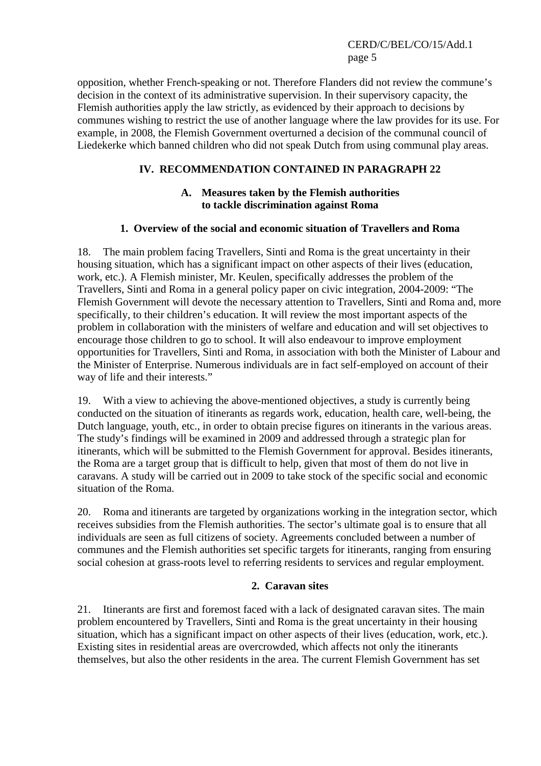CERD/C/BEL/CO/15/Add.1 page 5

opposition, whether French-speaking or not. Therefore Flanders did not review the commune's decision in the context of its administrative supervision. In their supervisory capacity, the Flemish authorities apply the law strictly, as evidenced by their approach to decisions by communes wishing to restrict the use of another language where the law provides for its use. For example, in 2008, the Flemish Government overturned a decision of the communal council of Liedekerke which banned children who did not speak Dutch from using communal play areas.

## **IV. RECOMMENDATION CONTAINED IN PARAGRAPH 22**

## **A. Measures taken by the Flemish authorities to tackle discrimination against Roma**

### **1. Overview of the social and economic situation of Travellers and Roma**

18. The main problem facing Travellers, Sinti and Roma is the great uncertainty in their housing situation, which has a significant impact on other aspects of their lives (education, work, etc.). A Flemish minister, Mr. Keulen, specifically addresses the problem of the Travellers, Sinti and Roma in a general policy paper on civic integration, 2004-2009: "The Flemish Government will devote the necessary attention to Travellers, Sinti and Roma and, more specifically, to their children's education. It will review the most important aspects of the problem in collaboration with the ministers of welfare and education and will set objectives to encourage those children to go to school. It will also endeavour to improve employment opportunities for Travellers, Sinti and Roma, in association with both the Minister of Labour and the Minister of Enterprise. Numerous individuals are in fact self-employed on account of their way of life and their interests."

19. With a view to achieving the above-mentioned objectives, a study is currently being conducted on the situation of itinerants as regards work, education, health care, well-being, the Dutch language, youth, etc., in order to obtain precise figures on itinerants in the various areas. The study's findings will be examined in 2009 and addressed through a strategic plan for itinerants, which will be submitted to the Flemish Government for approval. Besides itinerants, the Roma are a target group that is difficult to help, given that most of them do not live in caravans. A study will be carried out in 2009 to take stock of the specific social and economic situation of the Roma.

20. Roma and itinerants are targeted by organizations working in the integration sector, which receives subsidies from the Flemish authorities. The sector's ultimate goal is to ensure that all individuals are seen as full citizens of society. Agreements concluded between a number of communes and the Flemish authorities set specific targets for itinerants, ranging from ensuring social cohesion at grass-roots level to referring residents to services and regular employment.

#### **2. Caravan sites**

21. Itinerants are first and foremost faced with a lack of designated caravan sites. The main problem encountered by Travellers, Sinti and Roma is the great uncertainty in their housing situation, which has a significant impact on other aspects of their lives (education, work, etc.). Existing sites in residential areas are overcrowded, which affects not only the itinerants themselves, but also the other residents in the area. The current Flemish Government has set